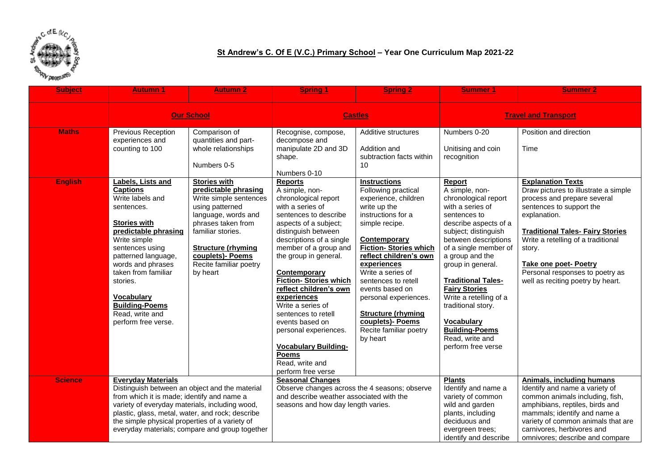

## **St Andrew's C. Of E (V.C.) Primary School – Year One Curriculum Map 2021-22**

| <b>Subject</b>                 | <b>Autumn 1</b>                                                                                                                                                                                                                                                                                                                     | <b>Autumn 2</b>                                                                                                                                                                                                            | <b>Spring 1</b>                                                                                                                                                                                                                                                                                                                                                                                                                                                                             | <b>Spring 2</b>                                                                                                                                                                                                                                                                                                                                                              | Summer 1                                                                                                                                                                                                                                                                                                                                                                                                         | <b>Summer 2</b>                                                                                                                                                                                                                                                                                                    |
|--------------------------------|-------------------------------------------------------------------------------------------------------------------------------------------------------------------------------------------------------------------------------------------------------------------------------------------------------------------------------------|----------------------------------------------------------------------------------------------------------------------------------------------------------------------------------------------------------------------------|---------------------------------------------------------------------------------------------------------------------------------------------------------------------------------------------------------------------------------------------------------------------------------------------------------------------------------------------------------------------------------------------------------------------------------------------------------------------------------------------|------------------------------------------------------------------------------------------------------------------------------------------------------------------------------------------------------------------------------------------------------------------------------------------------------------------------------------------------------------------------------|------------------------------------------------------------------------------------------------------------------------------------------------------------------------------------------------------------------------------------------------------------------------------------------------------------------------------------------------------------------------------------------------------------------|--------------------------------------------------------------------------------------------------------------------------------------------------------------------------------------------------------------------------------------------------------------------------------------------------------------------|
|                                | <b>Our School</b>                                                                                                                                                                                                                                                                                                                   |                                                                                                                                                                                                                            | <b>Castles</b>                                                                                                                                                                                                                                                                                                                                                                                                                                                                              |                                                                                                                                                                                                                                                                                                                                                                              | <b>Travel and Transport</b>                                                                                                                                                                                                                                                                                                                                                                                      |                                                                                                                                                                                                                                                                                                                    |
| <b>Maths</b><br><b>English</b> | Previous Reception<br>experiences and<br>counting to 100<br><b>Labels, Lists and</b>                                                                                                                                                                                                                                                | Comparison of<br>quantities and part-<br>whole relationships<br>Numbers 0-5<br><b>Stories with</b>                                                                                                                         | Recognise, compose,<br>decompose and<br>manipulate 2D and 3D<br>shape.<br>Numbers 0-10<br><b>Reports</b>                                                                                                                                                                                                                                                                                                                                                                                    | Additive structures<br>Addition and<br>subtraction facts within<br>10 <sup>1</sup><br><b>Instructions</b>                                                                                                                                                                                                                                                                    | Numbers 0-20<br>Unitising and coin<br>recognition<br>Report                                                                                                                                                                                                                                                                                                                                                      | Position and direction<br>Time<br><b>Explanation Texts</b>                                                                                                                                                                                                                                                         |
|                                | <b>Captions</b><br>Write labels and<br>sentences.<br><b>Stories with</b><br>predictable phrasing<br>Write simple<br>sentences using<br>patterned language,<br>words and phrases<br>taken from familiar<br>stories.<br><b>Vocabulary</b><br><b>Building-Poems</b><br>Read, write and<br>perform free verse.                          | predictable phrasing<br>Write simple sentences<br>using patterned<br>language, words and<br>phrases taken from<br>familiar stories.<br><b>Structure (rhyming</b><br>couplets)- Poems<br>Recite familiar poetry<br>by heart | A simple, non-<br>chronological report<br>with a series of<br>sentences to describe<br>aspects of a subject;<br>distinguish between<br>descriptions of a single<br>member of a group and<br>the group in general.<br>Contemporary<br><b>Fiction- Stories which</b><br>reflect children's own<br>experiences<br>Write a series of<br>sentences to retell<br>events based on<br>personal experiences.<br><b>Vocabulary Building-</b><br><b>Poems</b><br>Read, write and<br>perform free verse | Following practical<br>experience, children<br>write up the<br>instructions for a<br>simple recipe.<br>Contemporary<br><b>Fiction- Stories which</b><br>reflect children's own<br>experiences<br>Write a series of<br>sentences to retell<br>events based on<br>personal experiences.<br><b>Structure (rhyming</b><br>couplets)- Poems<br>Recite familiar poetry<br>by heart | A simple, non-<br>chronological report<br>with a series of<br>sentences to<br>describe aspects of a<br>subject; distinguish<br>between descriptions<br>of a single member of<br>a group and the<br>group in general.<br><b>Traditional Tales-</b><br><b>Fairy Stories</b><br>Write a retelling of a<br>traditional story.<br><b>Vocabulary</b><br><b>Building-Poems</b><br>Read, write and<br>perform free verse | Draw pictures to illustrate a simple<br>process and prepare several<br>sentences to support the<br>explanation.<br><b>Traditional Tales- Fairy Stories</b><br>Write a retelling of a traditional<br>story.<br><b>Take one poet- Poetry</b><br>Personal responses to poetry as<br>well as reciting poetry by heart. |
| <b>Science</b>                 | <b>Everyday Materials</b><br>Distinguish between an object and the material<br>from which it is made; identify and name a<br>variety of everyday materials, including wood,<br>plastic, glass, metal, water, and rock; describe<br>the simple physical properties of a variety of<br>everyday materials; compare and group together |                                                                                                                                                                                                                            | <b>Seasonal Changes</b><br>Observe changes across the 4 seasons; observe<br>and describe weather associated with the<br>seasons and how day length varies.                                                                                                                                                                                                                                                                                                                                  |                                                                                                                                                                                                                                                                                                                                                                              | <b>Plants</b><br>Identify and name a<br>variety of common<br>wild and garden<br>plants, including<br>deciduous and<br>evergreen trees;<br>identify and describe                                                                                                                                                                                                                                                  | <b>Animals, including humans</b><br>Identify and name a variety of<br>common animals including, fish,<br>amphibians, reptiles, birds and<br>mammals; identify and name a<br>variety of common animals that are<br>carnivores, herbivores and<br>omnivores; describe and compare                                    |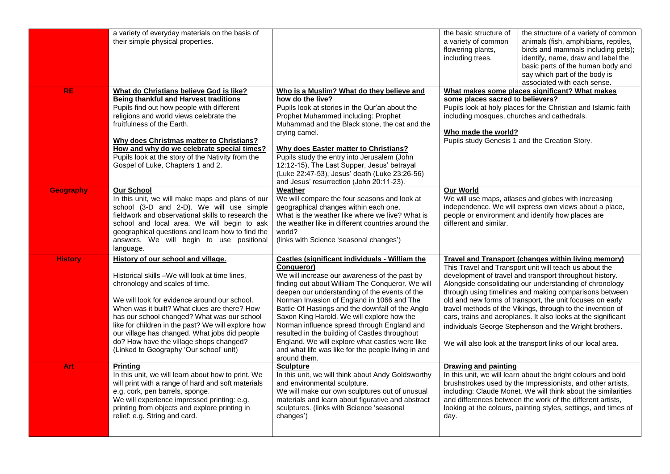|                  | a variety of everyday materials on the basis of<br>their simple physical properties.                                                                                                                                                                                                                                                                                                                                                                               |                                                                                                                                                                                                                                                                                                                                                                                                                                                                                                                                                                                               | the basic structure of<br>the structure of a variety of common<br>animals (fish, amphibians, reptiles,<br>a variety of common<br>birds and mammals including pets);<br>flowering plants,<br>including trees.<br>identify, name, draw and label the<br>basic parts of the human body and<br>say which part of the body is<br>associated with each sense.                                                                                                                                                                                                                                                                   |  |
|------------------|--------------------------------------------------------------------------------------------------------------------------------------------------------------------------------------------------------------------------------------------------------------------------------------------------------------------------------------------------------------------------------------------------------------------------------------------------------------------|-----------------------------------------------------------------------------------------------------------------------------------------------------------------------------------------------------------------------------------------------------------------------------------------------------------------------------------------------------------------------------------------------------------------------------------------------------------------------------------------------------------------------------------------------------------------------------------------------|---------------------------------------------------------------------------------------------------------------------------------------------------------------------------------------------------------------------------------------------------------------------------------------------------------------------------------------------------------------------------------------------------------------------------------------------------------------------------------------------------------------------------------------------------------------------------------------------------------------------------|--|
| <b>RE</b>        | What do Christians believe God is like?<br><b>Being thankful and Harvest traditions</b><br>Pupils find out how people with different<br>religions and world views celebrate the<br>fruitfulness of the Earth.<br>Why does Christmas matter to Christians?<br>How and why do we celebrate special times?<br>Pupils look at the story of the Nativity from the<br>Gospel of Luke, Chapters 1 and 2.                                                                  | Who is a Muslim? What do they believe and<br>how do the live?<br>Pupils look at stories in the Qur'an about the<br>Prophet Muhammed including: Prophet<br>Muhammad and the Black stone, the cat and the<br>crying camel.<br><b>Why does Easter matter to Christians?</b><br>Pupils study the entry into Jerusalem (John<br>12:12-15), The Last Supper, Jesus' betrayal<br>(Luke 22:47-53), Jesus' death (Luke 23:26-56)<br>and Jesus' resurrection (John 20:11-23).                                                                                                                           | What makes some places significant? What makes<br>some places sacred to believers?<br>Pupils look at holy places for the Christian and Islamic faith<br>including mosques, churches and cathedrals.<br>Who made the world?<br>Pupils study Genesis 1 and the Creation Story.                                                                                                                                                                                                                                                                                                                                              |  |
| <b>Geography</b> | <b>Our School</b><br>In this unit, we will make maps and plans of our<br>school (3-D and 2-D). We will use simple<br>fieldwork and observational skills to research the<br>school and local area. We will begin to ask<br>geographical questions and learn how to find the<br>answers. We will begin to use positional<br>language.                                                                                                                                | Weather<br>We will compare the four seasons and look at<br>geographical changes within each one.<br>What is the weather like where we live? What is<br>the weather like in different countries around the<br>world?<br>(links with Science 'seasonal changes')                                                                                                                                                                                                                                                                                                                                | <b>Our World</b><br>We will use maps, atlases and globes with increasing<br>independence. We will express own views about a place,<br>people or environment and identify how places are<br>different and similar.                                                                                                                                                                                                                                                                                                                                                                                                         |  |
| <b>History</b>   | History of our school and village.<br>Historical skills -We will look at time lines,<br>chronology and scales of time.<br>We will look for evidence around our school.<br>When was it built? What clues are there? How<br>has our school changed? What was our school<br>like for children in the past? We will explore how<br>our village has changed. What jobs did people<br>do? How have the village shops changed?<br>(Linked to Geography 'Our school' unit) | Castles (significant individuals - William the<br>Conqueror)<br>We will increase our awareness of the past by<br>finding out about William The Conqueror. We will<br>deepen our understanding of the events of the<br>Norman Invasion of England in 1066 and The<br>Battle Of Hastings and the downfall of the Anglo<br>Saxon King Harold. We will explore how the<br>Norman influence spread through England and<br>resulted in the building of Castles throughout<br>England. We will explore what castles were like<br>and what life was like for the people living in and<br>around them. | <b>Travel and Transport (changes within living memory)</b><br>This Travel and Transport unit will teach us about the<br>development of travel and transport throughout history.<br>Alongside consolidating our understanding of chronology<br>through using timelines and making comparisons between<br>old and new forms of transport, the unit focuses on early<br>travel methods of the Vikings, through to the invention of<br>cars, trains and aeroplanes. It also looks at the significant<br>individuals George Stephenson and the Wright brothers.<br>We will also look at the transport links of our local area. |  |
| Art              | <b>Printing</b><br>In this unit, we will learn about how to print. We<br>will print with a range of hard and soft materials<br>e.g. cork, pen barrels, sponge.<br>We will experience impressed printing: e.g.<br>printing from objects and explore printing in<br>relief: e.g. String and card.                                                                                                                                                                    | <b>Sculpture</b><br>In this unit, we will think about Andy Goldsworthy<br>and environmental sculpture.<br>We will make our own sculptures out of unusual<br>materials and learn about figurative and abstract<br>sculptures. (links with Science 'seasonal<br>changes')                                                                                                                                                                                                                                                                                                                       | Drawing and painting<br>In this unit, we will learn about the bright colours and bold<br>brushstrokes used by the Impressionists, and other artists,<br>including: Claude Monet. We will think about the similarities<br>and differences between the work of the different artists,<br>looking at the colours, painting styles, settings, and times of<br>day.                                                                                                                                                                                                                                                            |  |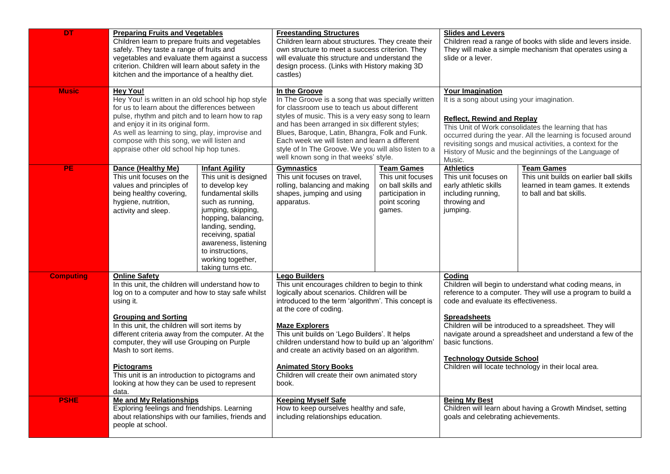| <b>DT</b>        | <b>Preparing Fruits and Vegetables</b><br>Children learn to prepare fruits and vegetables<br>safely. They taste a range of fruits and<br>vegetables and evaluate them against a success<br>criterion. Children will learn about safety in the<br>kitchen and the importance of a healthy diet.                                                                                                                                                                                       |                                                                                                                                                                                                                                                                                          | <b>Freestanding Structures</b><br>Children learn about structures. They create their<br>own structure to meet a success criterion. They<br>will evaluate this structure and understand the<br>design process. (Links with History making 3D<br>castles)                                                                                                                                                                                                                           |                                                                                                             | <b>Slides and Levers</b><br>Children read a range of books with slide and levers inside.<br>They will make a simple mechanism that operates using a<br>slide or a lever.                                                                                                                                                                                                                                                                |                                                                                                                              |
|------------------|--------------------------------------------------------------------------------------------------------------------------------------------------------------------------------------------------------------------------------------------------------------------------------------------------------------------------------------------------------------------------------------------------------------------------------------------------------------------------------------|------------------------------------------------------------------------------------------------------------------------------------------------------------------------------------------------------------------------------------------------------------------------------------------|-----------------------------------------------------------------------------------------------------------------------------------------------------------------------------------------------------------------------------------------------------------------------------------------------------------------------------------------------------------------------------------------------------------------------------------------------------------------------------------|-------------------------------------------------------------------------------------------------------------|-----------------------------------------------------------------------------------------------------------------------------------------------------------------------------------------------------------------------------------------------------------------------------------------------------------------------------------------------------------------------------------------------------------------------------------------|------------------------------------------------------------------------------------------------------------------------------|
| <b>Music</b>     | <b>Hey You!</b><br>Hey You! is written in an old school hip hop style<br>for us to learn about the differences between<br>pulse, rhythm and pitch and to learn how to rap<br>and enjoy it in its original form.<br>As well as learning to sing, play, improvise and<br>compose with this song, we will listen and<br>appraise other old school hip hop tunes.                                                                                                                        |                                                                                                                                                                                                                                                                                          | In the Groove<br>In The Groove is a song that was specially written<br>for classroom use to teach us about different<br>styles of music. This is a very easy song to learn<br>and has been arranged in six different styles;<br>Blues, Baroque, Latin, Bhangra, Folk and Funk.<br>Each week we will listen and learn a different<br>style of In The Groove. We you will also listen to a<br>well known song in that weeks' style.                                                 |                                                                                                             | <b>Your Imagination</b><br>It is a song about using your imagination.<br><b>Reflect, Rewind and Replay</b><br>This Unit of Work consolidates the learning that has<br>occurred during the year. All the learning is focused around<br>revisiting songs and musical activities, a context for the<br>History of Music and the beginnings of the Language of<br>Music.                                                                    |                                                                                                                              |
| <b>PE</b>        | Dance (Healthy Me)<br>This unit focuses on the<br>values and principles of<br>being healthy covering,<br>hygiene, nutrition,<br>activity and sleep.                                                                                                                                                                                                                                                                                                                                  | <b>Infant Agility</b><br>This unit is designed<br>to develop key<br>fundamental skills<br>such as running,<br>jumping, skipping,<br>hopping, balancing,<br>landing, sending,<br>receiving, spatial<br>awareness, listening<br>to instructions.<br>working together,<br>taking turns etc. | <b>Gymnastics</b><br>This unit focuses on travel,<br>rolling, balancing and making<br>shapes, jumping and using<br>apparatus.                                                                                                                                                                                                                                                                                                                                                     | <b>Team Games</b><br>This unit focuses<br>on ball skills and<br>participation in<br>point scoring<br>games. | <b>Athletics</b><br>This unit focuses on<br>early athletic skills<br>including running,<br>throwing and<br>jumping.                                                                                                                                                                                                                                                                                                                     | <b>Team Games</b><br>This unit builds on earlier ball skills<br>learned in team games. It extends<br>to ball and bat skills. |
| <b>Computing</b> | <b>Online Safety</b><br>In this unit, the children will understand how to<br>log on to a computer and how to stay safe whilst<br>using it.<br><b>Grouping and Sorting</b><br>In this unit, the children will sort items by<br>different criteria away from the computer. At the<br>computer, they will use Grouping on Purple<br>Mash to sort items.<br><b>Pictograms</b><br>This unit is an introduction to pictograms and<br>looking at how they can be used to represent<br>data. |                                                                                                                                                                                                                                                                                          | <b>Lego Builders</b><br>This unit encourages children to begin to think<br>logically about scenarios. Children will be<br>introduced to the term 'algorithm'. This concept is<br>at the core of coding.<br><b>Maze Explorers</b><br>This unit builds on 'Lego Builders'. It helps<br>children understand how to build up an 'algorithm'<br>and create an activity based on an algorithm.<br><b>Animated Story Books</b><br>Children will create their own animated story<br>book. |                                                                                                             | Coding<br>Children will begin to understand what coding means, in<br>reference to a computer. They will use a program to build a<br>code and evaluate its effectiveness.<br><b>Spreadsheets</b><br>Children will be introduced to a spreadsheet. They will<br>navigate around a spreadsheet and understand a few of the<br>basic functions.<br><b>Technology Outside School</b><br>Children will locate technology in their local area. |                                                                                                                              |
| <b>PSHE</b>      | <b>Me and My Relationships</b><br>Exploring feelings and friendships. Learning<br>about relationships with our families, friends and<br>people at school.                                                                                                                                                                                                                                                                                                                            |                                                                                                                                                                                                                                                                                          | <b>Keeping Myself Safe</b><br>How to keep ourselves healthy and safe,<br>including relationships education.                                                                                                                                                                                                                                                                                                                                                                       |                                                                                                             | <b>Being My Best</b><br>Children will learn about having a Growth Mindset, setting<br>goals and celebrating achievements.                                                                                                                                                                                                                                                                                                               |                                                                                                                              |